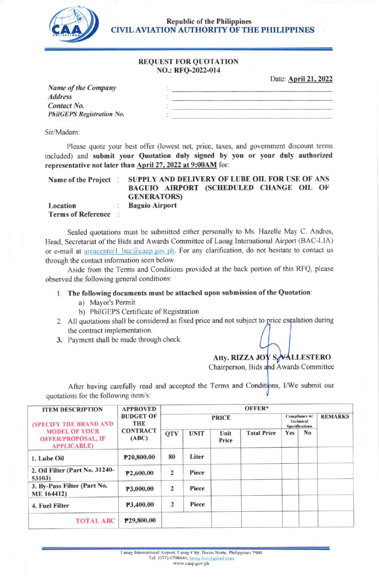

Republic of the Philippines **CIVIL AVIATION AUTHORITY OF THE PHILIPPINES** 

#### REQUEST FOR QUOTATION NO.: RFQ-2022-0I4

Date: **April 21, 2022** 

| <b>Name of the Company</b>       |  |
|----------------------------------|--|
| <b>Address</b>                   |  |
| Contact No.                      |  |
| <b>PhilGEPS Registration No.</b> |  |
|                                  |  |

Sir/Madam:

Please quote your best offer (lowest net, price, taxes, and government discount terms included) and submit your Quotation duly signed by you or your duly authorized representative not later than April 27, 2022 at 9:00AM for:

| <b>Name of the Project</b>  | SUPPLY AND DELIVERY OF LUBE OIL FOR USE OF ANS               |  |  |  |  |  |
|-----------------------------|--------------------------------------------------------------|--|--|--|--|--|
|                             | BAGUIO AIRPORT (SCHEDULED CHANGE OIL OF<br><b>GENERATORS</b> |  |  |  |  |  |
| Location                    | <b>Baguio Airport</b>                                        |  |  |  |  |  |
| <b>Terms of Reference</b> : |                                                              |  |  |  |  |  |

Sealed quotations must be submifted either personally to Ms. Hazelle May C. Andres, Head, Secretariat of the Bids and Awards Committee of Laoag Intemational Airport (BAC-LIA) or e-mail at areacenterl bac@caap.gov.ph. For any clarification, do not hesitate to contact us through the contact information seen below.

Aside from the Terms and Conditions provided at the back portion of this RFQ, please observed the following general conditions:

## <sup>I</sup>. The following documents must be attached upon submission of the Quotation:

- a) Mayor's Permit
- b) PhiIGEPS Certificate of Registration
- 2. All quotations shall be considered as fixed price and not subject to price escalation during the contract implementation.
- 3. Payment shall be made through check.

# Atty. RIZZA JOY SALLESTERO

Chairperson, Bids Awards Committee

After having carefully read and accepted the Terms and Conditions, I/We submit our quotations for the following item/s:

| <b>ITEM DESCRIPTION</b>                                                                            | <b>APPROVED</b><br><b>BUDGET OF</b><br>THE<br><b>CONTRACT</b><br>(ABC) | OFFER*       |             |               |                                                            |     |                |  |
|----------------------------------------------------------------------------------------------------|------------------------------------------------------------------------|--------------|-------------|---------------|------------------------------------------------------------|-----|----------------|--|
| (SPECIFY THE BRAND AND<br><b>MODEL OF YOUR</b><br><b>OFFER/PROPOSAL, IF</b><br><b>APPLICABLE</b> ) |                                                                        | <b>PRICE</b> |             |               | Compliance w/<br><b>Technical</b><br><b>Specifications</b> |     | <b>REMARKS</b> |  |
|                                                                                                    |                                                                        | <b>QTY</b>   | <b>UNIT</b> | Unit<br>Price | <b>Total Price</b>                                         | Yes | No             |  |
| 1. Lube Oil                                                                                        | P20,800.00                                                             | 80           | Liter       |               |                                                            |     |                |  |
| 2. Oil Filter (Part No. 31240-<br>53103)                                                           | P2,600.00                                                              | 2            | Piece       |               |                                                            |     |                |  |
| 3. By-Pass Filter (Part No.<br><b>ME 164412)</b>                                                   | P3,000.00                                                              | 2            | Piece       |               |                                                            |     |                |  |
| 4. Fuel Filter                                                                                     | P3,400.00                                                              | 2            | Piece       |               |                                                            |     |                |  |
| <b>TOTAL ABC</b>                                                                                   | P29,800.00                                                             |              |             |               |                                                            |     |                |  |